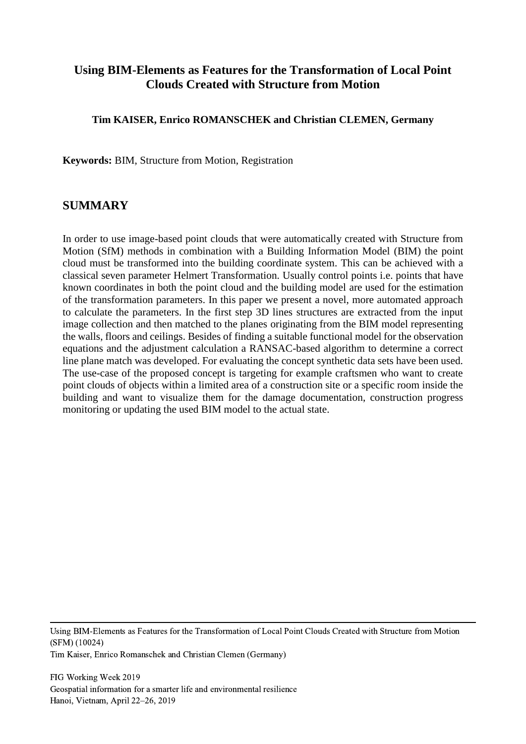### **Using BIM-Elements as Features for the Transformation of Local Point Clouds Created with Structure from Motion**

#### **Tim KAISER, Enrico ROMANSCHEK and Christian CLEMEN, Germany**

**Keywords:** BIM, Structure from Motion, Registration

### **SUMMARY**

In order to use image-based point clouds that were automatically created with Structure from Motion (SfM) methods in combination with a Building Information Model (BIM) the point cloud must be transformed into the building coordinate system. This can be achieved with a classical seven parameter Helmert Transformation. Usually control points i.e. points that have known coordinates in both the point cloud and the building model are used for the estimation of the transformation parameters. In this paper we present a novel, more automated approach to calculate the parameters. In the first step 3D lines structures are extracted from the input image collection and then matched to the planes originating from the BIM model representing the walls, floors and ceilings. Besides of finding a suitable functional model for the observation equations and the adjustment calculation a RANSAC-based algorithm to determine a correct line plane match was developed. For evaluating the concept synthetic data sets have been used. The use-case of the proposed concept is targeting for example craftsmen who want to create point clouds of objects within a limited area of a construction site or a specific room inside the building and want to visualize them for the damage documentation, construction progress monitoring or updating the used BIM model to the actual state.

Using BIM-Elements as Features for the Transformation of Local Point Clouds Created with Structure from Motion (SFM) (10024)

Tim Kaiser, Enrico Romanschek and Christian Clemen (Germany)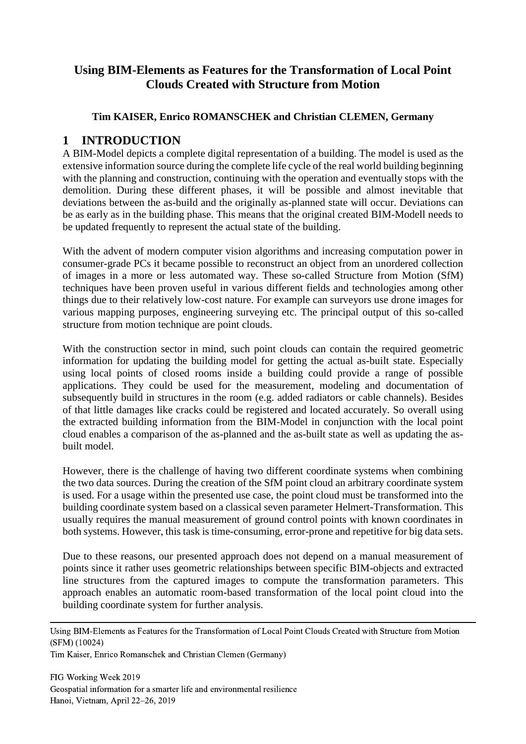## **Using BIM-Elements as Features for the Transformation of Local Point Clouds Created with Structure from Motion**

#### **Tim KAISER, Enrico ROMANSCHEK and Christian CLEMEN, Germany**

## **1 INTRODUCTION**

A BIM-Model depicts a complete digital representation of a building. The model is used as the extensive information source during the complete life cycle of the real world building beginning with the planning and construction, continuing with the operation and eventually stops with the demolition. During these different phases, it will be possible and almost inevitable that deviations between the as-build and the originally as-planned state will occur. Deviations can be as early as in the building phase. This means that the original created BIM-Modell needs to be updated frequently to represent the actual state of the building.

With the advent of modern computer vision algorithms and increasing computation power in consumer-grade PCs it became possible to reconstruct an object from an unordered collection of images in a more or less automated way. These so-called Structure from Motion (SfM) techniques have been proven useful in various different fields and technologies among other things due to their relatively low-cost nature. For example can surveyors use drone images for various mapping purposes, engineering surveying etc. The principal output of this so-called structure from motion technique are point clouds.

With the construction sector in mind, such point clouds can contain the required geometric information for updating the building model for getting the actual as-built state. Especially using local points of closed rooms inside a building could provide a range of possible applications. They could be used for the measurement, modeling and documentation of subsequently build in structures in the room (e.g. added radiators or cable channels). Besides of that little damages like cracks could be registered and located accurately. So overall using the extracted building information from the BIM-Model in conjunction with the local point cloud enables a comparison of the as-planned and the as-built state as well as updating the asbuilt model.

However, there is the challenge of having two different coordinate systems when combining the two data sources. During the creation of the SfM point cloud an arbitrary coordinate system is used. For a usage within the presented use case, the point cloud must be transformed into the building coordinate system based on a classical seven parameter Helmert-Transformation. This usually requires the manual measurement of ground control points with known coordinates in both systems. However, this task is time-consuming, error-prone and repetitive for big data sets.

Due to these reasons, our presented approach does not depend on a manual measurement of points since it rather uses geometric relationships between specific BIM-objects and extracted line structures from the captured images to compute the transformation parameters. This approach enables an automatic room-based transformation of the local point cloud into the building coordinate system for further analysis.

Using BIM-Elements as Features for the Transformation of Local Point Clouds Created with Structure from Motion (SFM) (10024)

Tim Kaiser, Enrico Romanschek and Christian Clemen (Germany)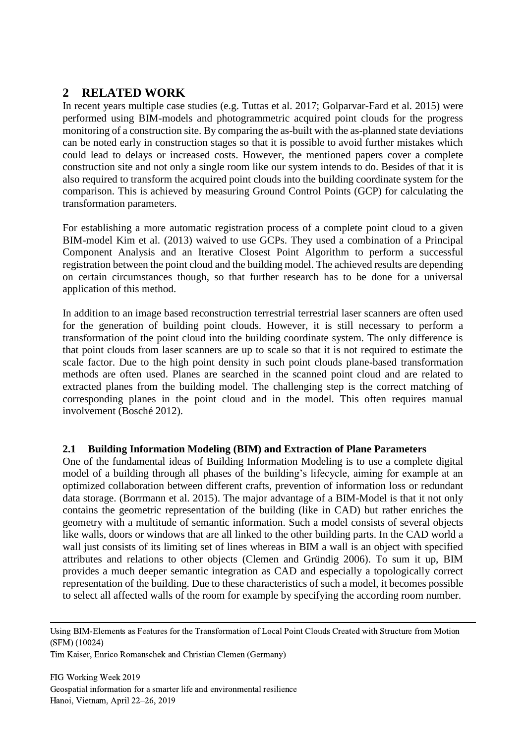# **2 RELATED WORK**

In recent years multiple case studies (e.g. Tuttas et al. 2017; Golparvar-Fard et al. 2015) were performed using BIM-models and photogrammetric acquired point clouds for the progress monitoring of a construction site. By comparing the as-built with the as-planned state deviations can be noted early in construction stages so that it is possible to avoid further mistakes which could lead to delays or increased costs. However, the mentioned papers cover a complete construction site and not only a single room like our system intends to do. Besides of that it is also required to transform the acquired point clouds into the building coordinate system for the comparison. This is achieved by measuring Ground Control Points (GCP) for calculating the transformation parameters.

For establishing a more automatic registration process of a complete point cloud to a given BIM-model Kim et al. (2013) waived to use GCPs. They used a combination of a Principal Component Analysis and an Iterative Closest Point Algorithm to perform a successful registration between the point cloud and the building model. The achieved results are depending on certain circumstances though, so that further research has to be done for a universal application of this method.

In addition to an image based reconstruction terrestrial terrestrial laser scanners are often used for the generation of building point clouds. However, it is still necessary to perform a transformation of the point cloud into the building coordinate system. The only difference is that point clouds from laser scanners are up to scale so that it is not required to estimate the scale factor. Due to the high point density in such point clouds plane-based transformation methods are often used. Planes are searched in the scanned point cloud and are related to extracted planes from the building model. The challenging step is the correct matching of corresponding planes in the point cloud and in the model. This often requires manual involvement (Bosché 2012).

#### **2.1 Building Information Modeling (BIM) and Extraction of Plane Parameters**

One of the fundamental ideas of Building Information Modeling is to use a complete digital model of a building through all phases of the building's lifecycle, aiming for example at an optimized collaboration between different crafts, prevention of information loss or redundant data storage. (Borrmann et al. 2015). The major advantage of a BIM-Model is that it not only contains the geometric representation of the building (like in CAD) but rather enriches the geometry with a multitude of semantic information. Such a model consists of several objects like walls, doors or windows that are all linked to the other building parts. In the CAD world a wall just consists of its limiting set of lines whereas in BIM a wall is an object with specified attributes and relations to other objects (Clemen and Gründig 2006). To sum it up, BIM provides a much deeper semantic integration as CAD and especially a topologically correct representation of the building. Due to these characteristics of such a model, it becomes possible to select all affected walls of the room for example by specifying the according room number.

Using BIM-Elements as Features for the Transformation of Local Point Clouds Created with Structure from Motion (SFM) (10024)

Tim Kaiser, Enrico Romanschek and Christian Clemen (Germany)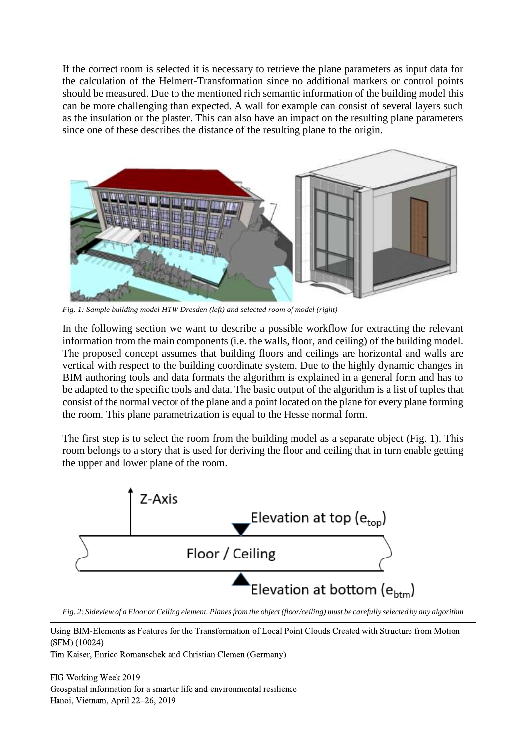If the correct room is selected it is necessary to retrieve the plane parameters as input data for the calculation of the Helmert-Transformation since no additional markers or control points should be measured. Due to the mentioned rich semantic information of the building model this can be more challenging than expected. A wall for example can consist of several layers such as the insulation or the plaster. This can also have an impact on the resulting plane parameters since one of these describes the distance of the resulting plane to the origin.



*Fig. 1: Sample building model HTW Dresden (left) and selected room of model (right)* 

<span id="page-3-0"></span>In the following section we want to describe a possible workflow for extracting the relevant information from the main components (i.e. the walls, floor, and ceiling) of the building model. The proposed concept assumes that building floors and ceilings are horizontal and walls are vertical with respect to the building coordinate system. Due to the highly dynamic changes in BIM authoring tools and data formats the algorithm is explained in a general form and has to be adapted to the specific tools and data. The basic output of the algorithm is a list of tuples that consist of the normal vector of the plane and a point located on the plane for every plane forming the room. This plane parametrization is equal to the Hesse normal form.

The first step is to select the room from the building model as a separate object [\(Fig. 1\)](#page-3-0). This room belongs to a story that is used for deriving the floor and ceiling that in turn enable getting the upper and lower plane of the room.



<span id="page-3-1"></span>*Fig. 2: Sideview of a Floor or Ceiling element. Planes from the object (floor/ceiling) must be carefully selected by any algorithm* 

Using BIM-Elements as Features for the Transformation of Local Point Clouds Created with Structure from Motion (SFM) (10024)

Tim Kaiser, Enrico Romanschek and Christian Clemen (Germany)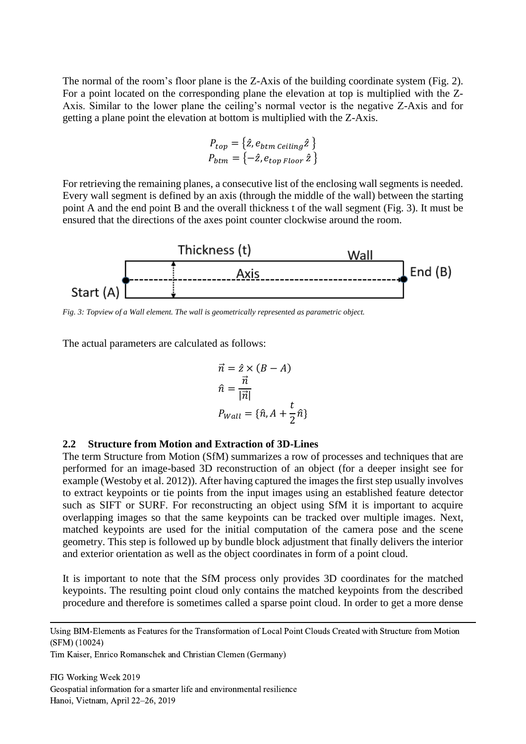The normal of the room's floor plane is the Z-Axis of the building coordinate system [\(Fig. 2\)](#page-3-1). For a point located on the corresponding plane the elevation at top is multiplied with the Z-Axis. Similar to the lower plane the ceiling's normal vector is the negative Z-Axis and for getting a plane point the elevation at bottom is multiplied with the Z-Axis.

$$
P_{top} = \{ \hat{z}, e_{btm} \, \text{ceiling} \, \hat{z} \}
$$
\n
$$
P_{btm} = \{ -\hat{z}, e_{top \, Floor} \, \hat{z} \}
$$

For retrieving the remaining planes, a consecutive list of the enclosing wall segments is needed. Every wall segment is defined by an axis (through the middle of the wall) between the starting point A and the end point B and the overall thickness t of the wall segment [\(Fig. 3\)](#page-4-0). It must be ensured that the directions of the axes point counter clockwise around the room.



<span id="page-4-0"></span>*Fig. 3: Topview of a Wall element. The wall is geometrically represented as parametric object.*

The actual parameters are calculated as follows:

$$
\vec{n} = \hat{z} \times (B - A)
$$

$$
\hat{n} = \frac{\vec{n}}{|\vec{n}|}
$$

$$
P_{Wall} = {\hat{n}, A + \frac{t}{2}\hat{n}}
$$

#### **2.2 Structure from Motion and Extraction of 3D-Lines**

The term Structure from Motion (SfM) summarizes a row of processes and techniques that are performed for an image-based 3D reconstruction of an object (for a deeper insight see for example (Westoby et al. 2012)). After having captured the images the first step usually involves to extract keypoints or tie points from the input images using an established feature detector such as SIFT or SURF. For reconstructing an object using SfM it is important to acquire overlapping images so that the same keypoints can be tracked over multiple images. Next, matched keypoints are used for the initial computation of the camera pose and the scene geometry. This step is followed up by bundle block adjustment that finally delivers the interior and exterior orientation as well as the object coordinates in form of a point cloud.

It is important to note that the SfM process only provides 3D coordinates for the matched keypoints. The resulting point cloud only contains the matched keypoints from the described procedure and therefore is sometimes called a sparse point cloud. In order to get a more dense

Using BIM-Elements as Features for the Transformation of Local Point Clouds Created with Structure from Motion (SFM) (10024)

Tim Kaiser, Enrico Romanschek and Christian Clemen (Germany)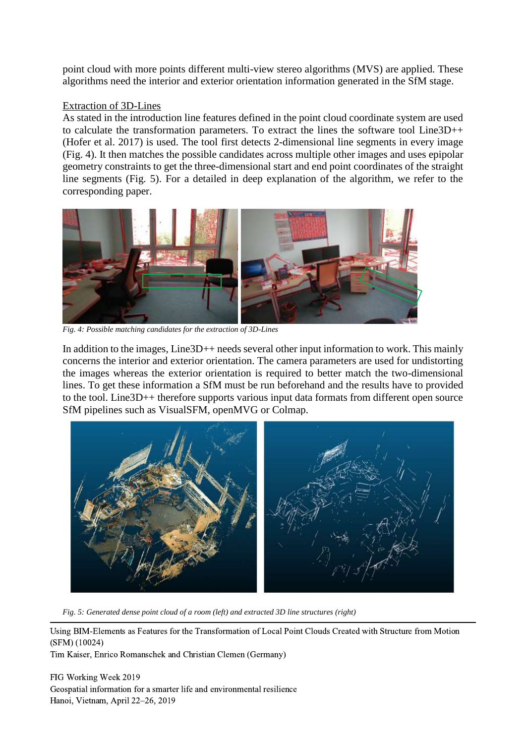point cloud with more points different multi-view stereo algorithms (MVS) are applied. These algorithms need the interior and exterior orientation information generated in the SfM stage.

#### Extraction of 3D-Lines

As stated in the introduction line features defined in the point cloud coordinate system are used to calculate the transformation parameters. To extract the lines the software tool Line3D++ (Hofer et al. 2017) is used. The tool first detects 2-dimensional line segments in every image [\(Fig. 4\)](#page-5-0). It then matches the possible candidates across multiple other images and uses epipolar geometry constraints to get the three-dimensional start and end point coordinates of the straight line segments [\(Fig. 5\)](#page-5-1). For a detailed in deep explanation of the algorithm, we refer to the corresponding paper.



*Fig. 4: Possible matching candidates for the extraction of 3D-Lines*

<span id="page-5-0"></span>In addition to the images, Line3D++ needs several other input information to work. This mainly concerns the interior and exterior orientation. The camera parameters are used for undistorting the images whereas the exterior orientation is required to better match the two-dimensional lines. To get these information a SfM must be run beforehand and the results have to provided to the tool. Line3D++ therefore supports various input data formats from different open source SfM pipelines such as VisualSFM, openMVG or Colmap.



*Fig. 5: Generated dense point cloud of a room (left) and extracted 3D line structures (right)*

<span id="page-5-1"></span>Using BIM-Elements as Features for the Transformation of Local Point Clouds Created with Structure from Motion (SFM) (10024)

Tim Kaiser, Enrico Romanschek and Christian Clemen (Germany)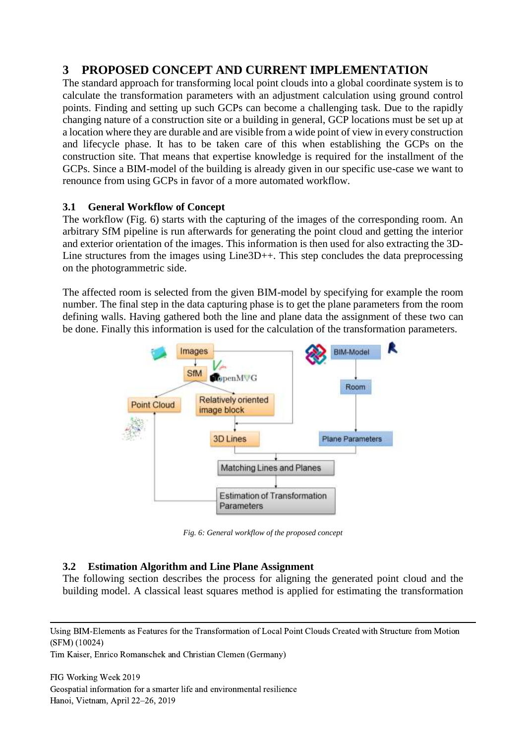# **3 PROPOSED CONCEPT AND CURRENT IMPLEMENTATION**

The standard approach for transforming local point clouds into a global coordinate system is to calculate the transformation parameters with an adjustment calculation using ground control points. Finding and setting up such GCPs can become a challenging task. Due to the rapidly changing nature of a construction site or a building in general, GCP locations must be set up at a location where they are durable and are visible from a wide point of view in every construction and lifecycle phase. It has to be taken care of this when establishing the GCPs on the construction site. That means that expertise knowledge is required for the installment of the GCPs. Since a BIM-model of the building is already given in our specific use-case we want to renounce from using GCPs in favor of a more automated workflow.

#### **3.1 General Workflow of Concept**

The workflow [\(Fig. 6\)](#page-6-0) starts with the capturing of the images of the corresponding room. An arbitrary SfM pipeline is run afterwards for generating the point cloud and getting the interior and exterior orientation of the images. This information is then used for also extracting the 3D-Line structures from the images using Line3D++. This step concludes the data preprocessing on the photogrammetric side.

The affected room is selected from the given BIM-model by specifying for example the room number. The final step in the data capturing phase is to get the plane parameters from the room defining walls. Having gathered both the line and plane data the assignment of these two can be done. Finally this information is used for the calculation of the transformation parameters.



*Fig. 6: General workflow of the proposed concept*

#### <span id="page-6-0"></span>**3.2 Estimation Algorithm and Line Plane Assignment**

The following section describes the process for aligning the generated point cloud and the building model. A classical least squares method is applied for estimating the transformation

Tim Kaiser, Enrico Romanschek and Christian Clemen (Germany)

Using BIM-Elements as Features for the Transformation of Local Point Clouds Created with Structure from Motion (SFM) (10024)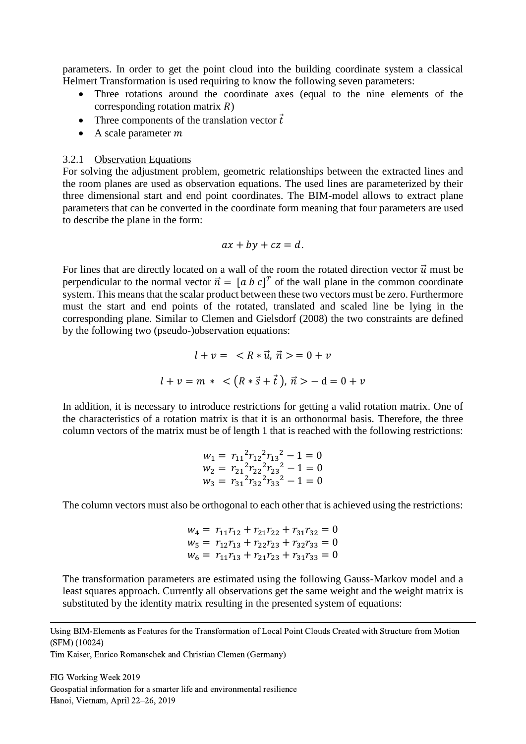parameters. In order to get the point cloud into the building coordinate system a classical Helmert Transformation is used requiring to know the following seven parameters:

- Three rotations around the coordinate axes (equal to the nine elements of the corresponding rotation matrix  $R$ )
- Three components of the translation vector  $\vec{t}$
- A scale parameter  $m$

#### 3.2.1 Observation Equations

For solving the adjustment problem, geometric relationships between the extracted lines and the room planes are used as observation equations. The used lines are parameterized by their three dimensional start and end point coordinates. The BIM-model allows to extract plane parameters that can be converted in the coordinate form meaning that four parameters are used to describe the plane in the form:

$$
ax + by + cz = d.
$$

For lines that are directly located on a wall of the room the rotated direction vector  $\vec{u}$  must be perpendicular to the normal vector  $\vec{n} = [a \ b \ c]^T$  of the wall plane in the common coordinate system. This means that the scalar product between these two vectors must be zero. Furthermore must the start and end points of the rotated, translated and scaled line be lying in the corresponding plane. Similar to Clemen and Gielsdorf (2008) the two constraints are defined by the following two (pseudo-)observation equations:

$$
l + v = \langle R * \vec{u}, \vec{n} \rangle = 0 + v
$$
  

$$
l + v = m * \langle (R * \vec{s} + \vec{t}), \vec{n} \rangle - d = 0 + v
$$

In addition, it is necessary to introduce restrictions for getting a valid rotation matrix. One of the characteristics of a rotation matrix is that it is an orthonormal basis. Therefore, the three column vectors of the matrix must be of length 1 that is reached with the following restrictions:

$$
w_1 = r_{11}^2 r_{12}^2 r_{13}^2 - 1 = 0
$$
  
\n
$$
w_2 = r_{21}^2 r_{22}^2 r_{23}^2 - 1 = 0
$$
  
\n
$$
w_3 = r_{31}^2 r_{32}^2 r_{33}^2 - 1 = 0
$$

The column vectors must also be orthogonal to each other that is achieved using the restrictions:

$$
w_4 = r_{11}r_{12} + r_{21}r_{22} + r_{31}r_{32} = 0
$$
  
\n
$$
w_5 = r_{12}r_{13} + r_{22}r_{23} + r_{32}r_{33} = 0
$$
  
\n
$$
w_6 = r_{11}r_{13} + r_{21}r_{23} + r_{31}r_{33} = 0
$$

The transformation parameters are estimated using the following Gauss-Markov model and a least squares approach. Currently all observations get the same weight and the weight matrix is substituted by the identity matrix resulting in the presented system of equations:

Tim Kaiser, Enrico Romanschek and Christian Clemen (Germany)

Using BIM-Elements as Features for the Transformation of Local Point Clouds Created with Structure from Motion (SFM) (10024)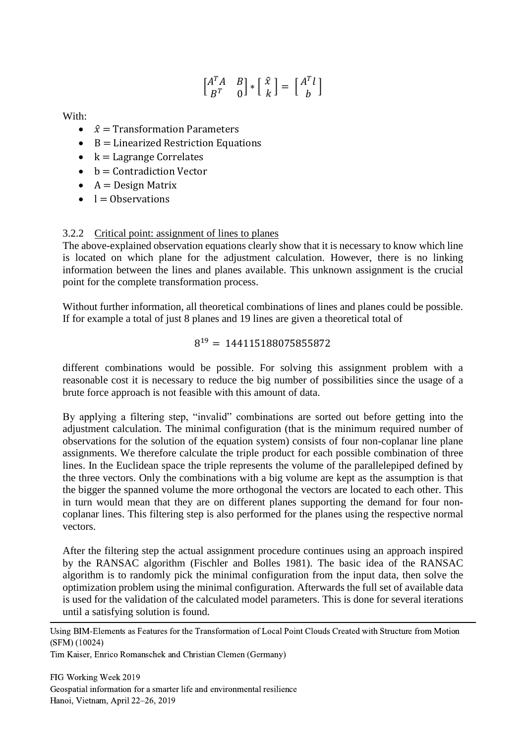$$
\begin{bmatrix} A^T A & B \\ B^T & 0 \end{bmatrix} * \begin{bmatrix} \hat{x} \\ k \end{bmatrix} = \begin{bmatrix} A^T l \\ b \end{bmatrix}
$$

With:

- $\hat{x}$  = Transformation Parameters
- $\bullet$  B = Linearized Restriction Equations
- $k =$  Lagrange Correlates
- $\bullet$  b = Contradiction Vector
- $A = Design Matrix$
- $\bullet$  l = Observations

#### 3.2.2 Critical point: assignment of lines to planes

The above-explained observation equations clearly show that it is necessary to know which line is located on which plane for the adjustment calculation. However, there is no linking information between the lines and planes available. This unknown assignment is the crucial point for the complete transformation process.

Without further information, all theoretical combinations of lines and planes could be possible. If for example a total of just 8 planes and 19 lines are given a theoretical total of

#### $8^{19} = 144115188075855872$

different combinations would be possible. For solving this assignment problem with a reasonable cost it is necessary to reduce the big number of possibilities since the usage of a brute force approach is not feasible with this amount of data.

By applying a filtering step, "invalid" combinations are sorted out before getting into the adjustment calculation. The minimal configuration (that is the minimum required number of observations for the solution of the equation system) consists of four non-coplanar line plane assignments. We therefore calculate the triple product for each possible combination of three lines. In the Euclidean space the triple represents the volume of the parallelepiped defined by the three vectors. Only the combinations with a big volume are kept as the assumption is that the bigger the spanned volume the more orthogonal the vectors are located to each other. This in turn would mean that they are on different planes supporting the demand for four noncoplanar lines. This filtering step is also performed for the planes using the respective normal vectors.

After the filtering step the actual assignment procedure continues using an approach inspired by the RANSAC algorithm (Fischler and Bolles 1981). The basic idea of the RANSAC algorithm is to randomly pick the minimal configuration from the input data, then solve the optimization problem using the minimal configuration. Afterwards the full set of available data is used for the validation of the calculated model parameters. This is done for several iterations until a satisfying solution is found.

Using BIM-Elements as Features for the Transformation of Local Point Clouds Created with Structure from Motion (SFM) (10024)

Tim Kaiser, Enrico Romanschek and Christian Clemen (Germany)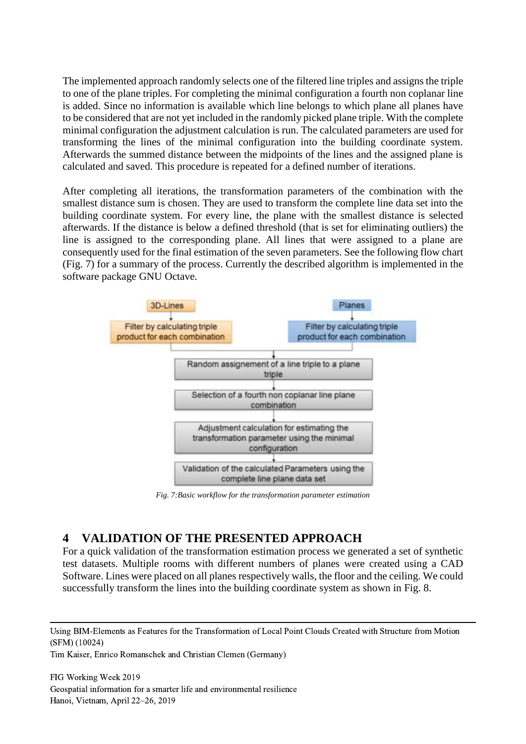The implemented approach randomly selects one of the filtered line triples and assigns the triple to one of the plane triples. For completing the minimal configuration a fourth non coplanar line is added. Since no information is available which line belongs to which plane all planes have to be considered that are not yet included in the randomly picked plane triple. With the complete minimal configuration the adjustment calculation is run. The calculated parameters are used for transforming the lines of the minimal configuration into the building coordinate system. Afterwards the summed distance between the midpoints of the lines and the assigned plane is calculated and saved. This procedure is repeated for a defined number of iterations.

After completing all iterations, the transformation parameters of the combination with the smallest distance sum is chosen. They are used to transform the complete line data set into the building coordinate system. For every line, the plane with the smallest distance is selected afterwards. If the distance is below a defined threshold (that is set for eliminating outliers) the line is assigned to the corresponding plane. All lines that were assigned to a plane are consequently used for the final estimation of the seven parameters. See the following flow chart [\(Fig. 7\)](#page-9-0) for a summary of the process. Currently the described algorithm is implemented in the software package GNU Octave.



*Fig. 7:Basic workflow for the transformation parameter estimation*

### <span id="page-9-0"></span>**4 VALIDATION OF THE PRESENTED APPROACH**

For a quick validation of the transformation estimation process we generated a set of synthetic test datasets. Multiple rooms with different numbers of planes were created using a CAD Software. Lines were placed on all planes respectively walls, the floor and the ceiling. We could successfully transform the lines into the building coordinate system as shown in [Fig. 8.](#page-10-0)

Using BIM-Elements as Features for the Transformation of Local Point Clouds Created with Structure from Motion (SFM) (10024)

Tim Kaiser, Enrico Romanschek and Christian Clemen (Germany)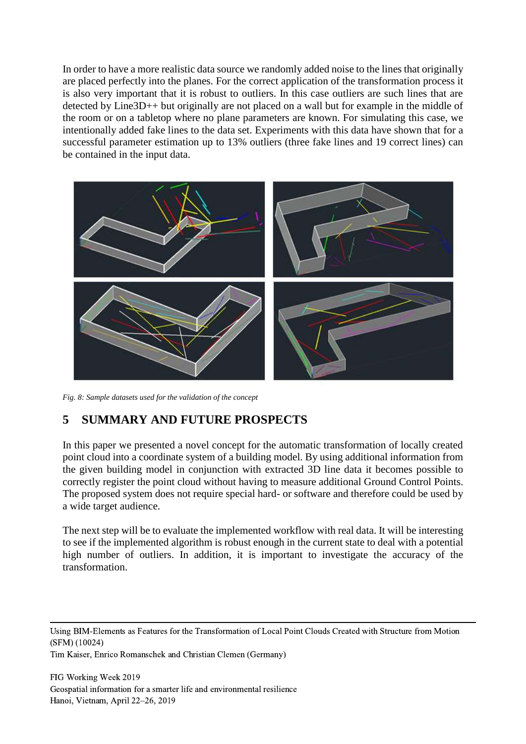In order to have a more realistic data source we randomly added noise to the lines that originally are placed perfectly into the planes. For the correct application of the transformation process it is also very important that it is robust to outliers. In this case outliers are such lines that are detected by Line3D++ but originally are not placed on a wall but for example in the middle of the room or on a tabletop where no plane parameters are known. For simulating this case, we intentionally added fake lines to the data set. Experiments with this data have shown that for a successful parameter estimation up to 13% outliers (three fake lines and 19 correct lines) can be contained in the input data.



*Fig. 8: Sample datasets used for the validation of the concept*

### <span id="page-10-0"></span>**5 SUMMARY AND FUTURE PROSPECTS**

In this paper we presented a novel concept for the automatic transformation of locally created point cloud into a coordinate system of a building model. By using additional information from the given building model in conjunction with extracted 3D line data it becomes possible to correctly register the point cloud without having to measure additional Ground Control Points. The proposed system does not require special hard- or software and therefore could be used by a wide target audience.

The next step will be to evaluate the implemented workflow with real data. It will be interesting to see if the implemented algorithm is robust enough in the current state to deal with a potential high number of outliers. In addition, it is important to investigate the accuracy of the transformation.

Using BIM-Elements as Features for the Transformation of Local Point Clouds Created with Structure from Motion (SFM) (10024)

Tim Kaiser, Enrico Romanschek and Christian Clemen (Germany)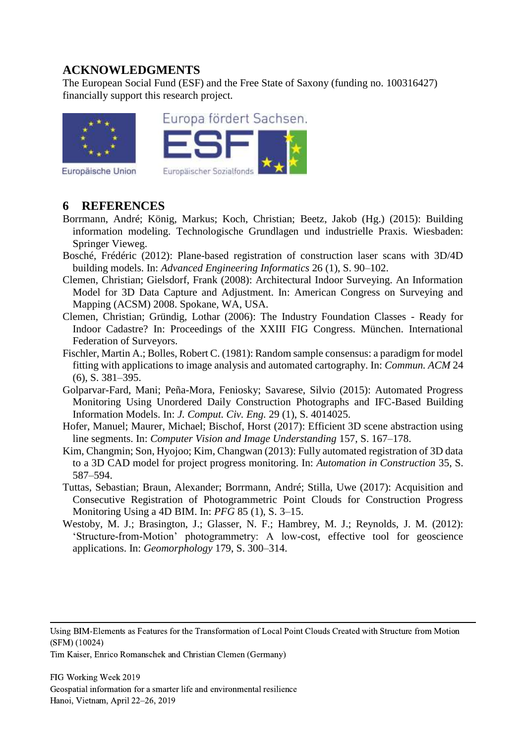## **ACKNOWLEDGMENTS**

The European Social Fund (ESF) and the Free State of Saxony (funding no. 100316427) financially support this research project.





Europäische Union

### **6 REFERENCES**

- Borrmann, André; König, Markus; Koch, Christian; Beetz, Jakob (Hg.) (2015): Building information modeling. Technologische Grundlagen und industrielle Praxis. Wiesbaden: Springer Vieweg.
- Bosché, Frédéric (2012): Plane-based registration of construction laser scans with 3D/4D building models. In: *Advanced Engineering Informatics* 26 (1), S. 90–102.
- Clemen, Christian; Gielsdorf, Frank (2008): Architectural Indoor Surveying. An Information Model for 3D Data Capture and Adjustment. In: American Congress on Surveying and Mapping (ACSM) 2008. Spokane, WA, USA.
- Clemen, Christian; Gründig, Lothar (2006): The Industry Foundation Classes Ready for Indoor Cadastre? In: Proceedings of the XXIII FIG Congress. München. International Federation of Surveyors.
- Fischler, Martin A.; Bolles, Robert C. (1981): Random sample consensus: a paradigm for model fitting with applications to image analysis and automated cartography. In: *Commun. ACM* 24 (6), S. 381–395.
- Golparvar-Fard, Mani; Peña-Mora, Feniosky; Savarese, Silvio (2015): Automated Progress Monitoring Using Unordered Daily Construction Photographs and IFC-Based Building Information Models. In: *J. Comput. Civ. Eng.* 29 (1), S. 4014025.
- Hofer, Manuel; Maurer, Michael; Bischof, Horst (2017): Efficient 3D scene abstraction using line segments. In: *Computer Vision and Image Understanding* 157, S. 167–178.
- Kim, Changmin; Son, Hyojoo; Kim, Changwan (2013): Fully automated registration of 3D data to a 3D CAD model for project progress monitoring. In: *Automation in Construction* 35, S. 587–594.
- Tuttas, Sebastian; Braun, Alexander; Borrmann, André; Stilla, Uwe (2017): Acquisition and Consecutive Registration of Photogrammetric Point Clouds for Construction Progress Monitoring Using a 4D BIM. In: *PFG* 85 (1), S. 3–15.
- Westoby, M. J.; Brasington, J.; Glasser, N. F.; Hambrey, M. J.; Reynolds, J. M. (2012): 'Structure-from-Motion' photogrammetry: A low-cost, effective tool for geoscience applications. In: *Geomorphology* 179, S. 300–314.

Using BIM-Elements as Features for the Transformation of Local Point Clouds Created with Structure from Motion (SFM) (10024)

Tim Kaiser, Enrico Romanschek and Christian Clemen (Germany)